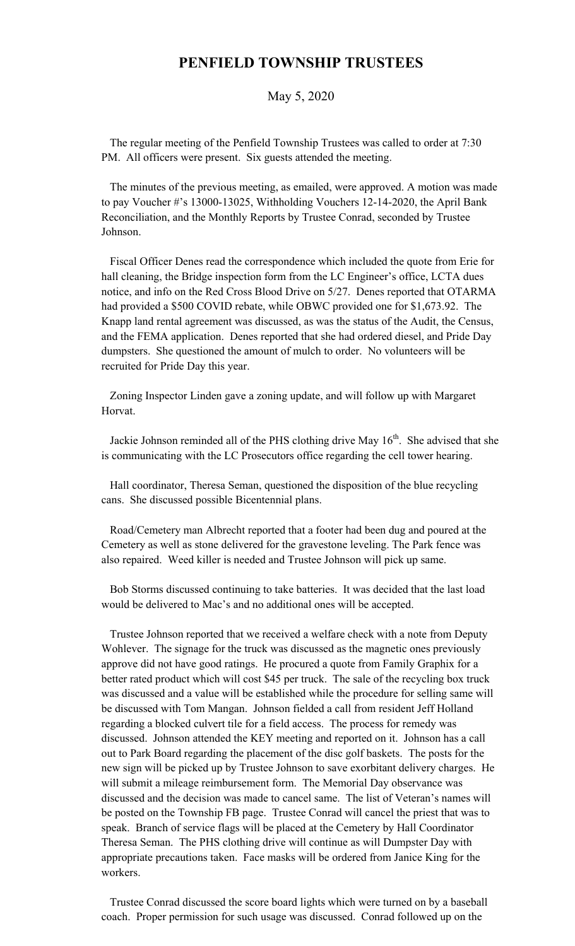## **PENFIELD TOWNSHIP TRUSTEES**

## May 5, 2020

 The regular meeting of the Penfield Township Trustees was called to order at 7:30 PM. All officers were present. Six guests attended the meeting.

 The minutes of the previous meeting, as emailed, were approved. A motion was made to pay Voucher #'s 13000-13025, Withholding Vouchers 12-14-2020, the April Bank Reconciliation, and the Monthly Reports by Trustee Conrad, seconded by Trustee Johnson.

 Fiscal Officer Denes read the correspondence which included the quote from Erie for hall cleaning, the Bridge inspection form from the LC Engineer's office, LCTA dues notice, and info on the Red Cross Blood Drive on 5/27. Denes reported that OTARMA had provided a \$500 COVID rebate, while OBWC provided one for \$1,673.92. The Knapp land rental agreement was discussed, as was the status of the Audit, the Census, and the FEMA application. Denes reported that she had ordered diesel, and Pride Day dumpsters. She questioned the amount of mulch to order. No volunteers will be recruited for Pride Day this year.

 Zoning Inspector Linden gave a zoning update, and will follow up with Margaret Horvat.

Jackie Johnson reminded all of the PHS clothing drive May  $16<sup>th</sup>$ . She advised that she is communicating with the LC Prosecutors office regarding the cell tower hearing.

 Hall coordinator, Theresa Seman, questioned the disposition of the blue recycling cans. She discussed possible Bicentennial plans.

 Road/Cemetery man Albrecht reported that a footer had been dug and poured at the Cemetery as well as stone delivered for the gravestone leveling. The Park fence was also repaired. Weed killer is needed and Trustee Johnson will pick up same.

 Bob Storms discussed continuing to take batteries. It was decided that the last load would be delivered to Mac's and no additional ones will be accepted.

 Trustee Johnson reported that we received a welfare check with a note from Deputy Wohlever. The signage for the truck was discussed as the magnetic ones previously approve did not have good ratings. He procured a quote from Family Graphix for a better rated product which will cost \$45 per truck. The sale of the recycling box truck was discussed and a value will be established while the procedure for selling same will be discussed with Tom Mangan. Johnson fielded a call from resident Jeff Holland regarding a blocked culvert tile for a field access. The process for remedy was discussed. Johnson attended the KEY meeting and reported on it. Johnson has a call out to Park Board regarding the placement of the disc golf baskets. The posts for the new sign will be picked up by Trustee Johnson to save exorbitant delivery charges. He will submit a mileage reimbursement form. The Memorial Day observance was discussed and the decision was made to cancel same. The list of Veteran's names will be posted on the Township FB page. Trustee Conrad will cancel the priest that was to speak. Branch of service flags will be placed at the Cemetery by Hall Coordinator Theresa Seman. The PHS clothing drive will continue as will Dumpster Day with appropriate precautions taken. Face masks will be ordered from Janice King for the workers.

 Trustee Conrad discussed the score board lights which were turned on by a baseball coach. Proper permission for such usage was discussed. Conrad followed up on the